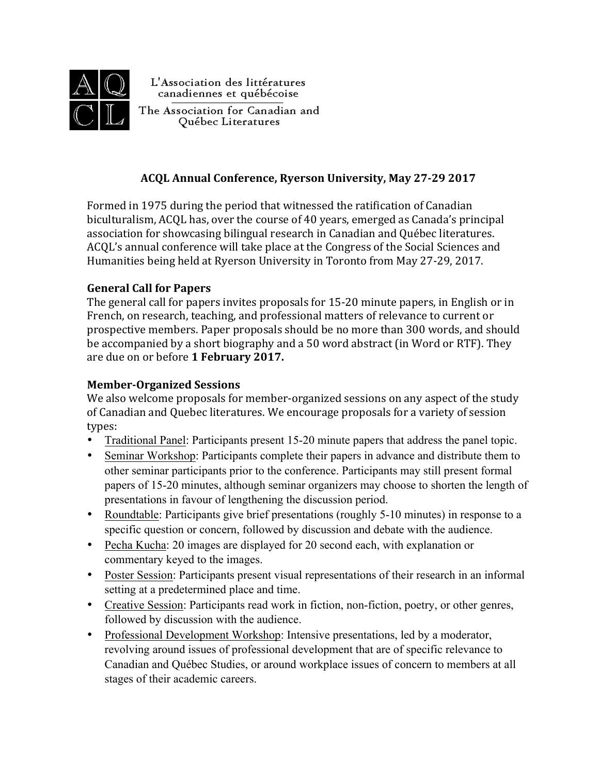

L'Association des littératures canadiennes et québécoise

The Association for Canadian and Québec Literatures

## **ACQL Annual Conference, Ryerson University, May 27-29 2017**

Formed in 1975 during the period that witnessed the ratification of Canadian biculturalism, ACQL has, over the course of 40 years, emerged as Canada's principal association for showcasing bilingual research in Canadian and Québec literatures. ACQL's annual conference will take place at the Congress of the Social Sciences and Humanities being held at Ryerson University in Toronto from May 27-29, 2017.

## **General Call for Papers**

The general call for papers invites proposals for 15-20 minute papers, in English or in French, on research, teaching, and professional matters of relevance to current or prospective members. Paper proposals should be no more than 300 words, and should be accompanied by a short biography and a 50 word abstract (in Word or RTF). They are due on or before 1 February 2017.

## **Member-Organized Sessions**

We also welcome proposals for member-organized sessions on any aspect of the study of Canadian and Quebec literatures. We encourage proposals for a variety of session types: 

- Traditional Panel: Participants present 15-20 minute papers that address the panel topic.
- Seminar Workshop: Participants complete their papers in advance and distribute them to other seminar participants prior to the conference. Participants may still present formal papers of 15-20 minutes, although seminar organizers may choose to shorten the length of presentations in favour of lengthening the discussion period.
- Roundtable: Participants give brief presentations (roughly 5-10 minutes) in response to a specific question or concern, followed by discussion and debate with the audience.
- Pecha Kucha: 20 images are displayed for 20 second each, with explanation or commentary keyed to the images.
- Poster Session: Participants present visual representations of their research in an informal setting at a predetermined place and time.
- Creative Session: Participants read work in fiction, non-fiction, poetry, or other genres, followed by discussion with the audience.
- Professional Development Workshop: Intensive presentations, led by a moderator, revolving around issues of professional development that are of specific relevance to Canadian and Québec Studies, or around workplace issues of concern to members at all stages of their academic careers.